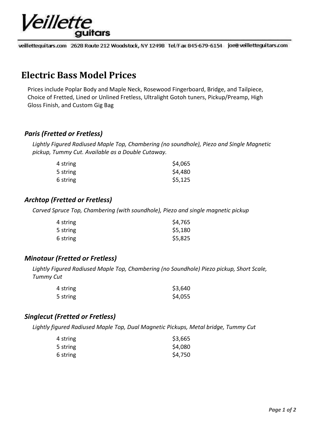

veillettequitars.com 2628 Route 212 Woodstock, NY 12498 Tel/Fax 845-679-6154 joe@ veilletteguitars.com

## **Electric Bass Model Prices**

Prices include Poplar Body and Maple Neck, Rosewood Fingerboard, Bridge, and Tailpiece, Choice of Fretted, Lined or Unlined Fretless, Ultralight Gotoh tuners, Pickup/Preamp, High Gloss Finish, and Custom Gig Bag

#### *Paris (Fretted or Fretless)*

*Lightly Figured Radiused Maple Top, Chambering (no soundhole), Piezo and Single Magnetic pickup, Tummy Cut. Available as a Double Cutaway.*

| 4 string | \$4,065 |
|----------|---------|
| 5 string | \$4,480 |
| 6 string | \$5,125 |

### *Archtop (Fretted or Fretless)*

*Carved Spruce Top, Chambering (with soundhole), Piezo and single magnetic pickup*

| 4 string | \$4,765 |
|----------|---------|
| 5 string | \$5,180 |
| 6 string | \$5,825 |

#### *Minotaur (Fretted or Fretless)*

*Lightly Figured Radiused Maple Top, Chambering (no Soundhole) Piezo pickup, Short Scale, Tummy Cut*

| 4 string | \$3,640 |
|----------|---------|
| 5 string | \$4,055 |

#### *Singlecut (Fretted or Fretless)*

*Lightly figured Radiused Maple Top, Dual Magnetic Pickups, Metal bridge, Tummy Cut*

| 4 string | \$3,665 |
|----------|---------|
| 5 string | \$4,080 |
| 6 string | \$4,750 |